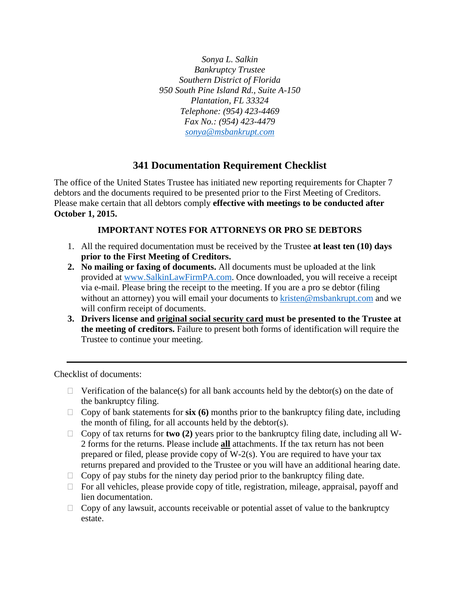*Sonya L. Salkin Bankruptcy Trustee Southern District of Florida 950 South Pine Island Rd., Suite A-150 Plantation, FL 33324 Telephone: (954) 423-4469 Fax No.: (954) 423-4479 sonya@msbankrupt.com*

## **341 Documentation Requirement Checklist**

The office of the United States Trustee has initiated new reporting requirements for Chapter 7 debtors and the documents required to be presented prior to the First Meeting of Creditors. Please make certain that all debtors comply **effective with meetings to be conducted after October 1, 2015.** 

## **IMPORTANT NOTES FOR ATTORNEYS OR PRO SE DEBTORS**

- 1. All the required documentation must be received by the Trustee **at least ten (10) days prior to the First Meeting of Creditors.**
- **2. No mailing or faxing of documents.** All documents must be uploaded at the link provided at www.SalkinLawFirmPA.com. Once downloaded, you will receive a receipt via e-mail. Please bring the receipt to the meeting. If you are a pro se debtor (filing without an attorney) you will email your documents to kristen@msbankrupt.com and we will confirm receipt of documents.
- **3. Drivers license and original social security card must be presented to the Trustee at the meeting of creditors.** Failure to present both forms of identification will require the Trustee to continue your meeting.

Checklist of documents:

- $\Box$  Verification of the balance(s) for all bank accounts held by the debtor(s) on the date of the bankruptcy filing.
- $\Box$  Copy of bank statements for  $\dot{six}$  (6) months prior to the bankruptcy filing date, including the month of filing, for all accounts held by the debtor(s).
- Copy of tax returns for **two (2)** years prior to the bankruptcy filing date, including all W-2 forms for the returns. Please include **all** attachments. If the tax return has not been prepared or filed, please provide copy of W-2(s). You are required to have your tax returns prepared and provided to the Trustee or you will have an additional hearing date.
- $\Box$  Copy of pay stubs for the ninety day period prior to the bankruptcy filing date.
- $\Box$  For all vehicles, please provide copy of title, registration, mileage, appraisal, payoff and lien documentation.
- $\Box$  Copy of any lawsuit, accounts receivable or potential asset of value to the bankruptcy estate.